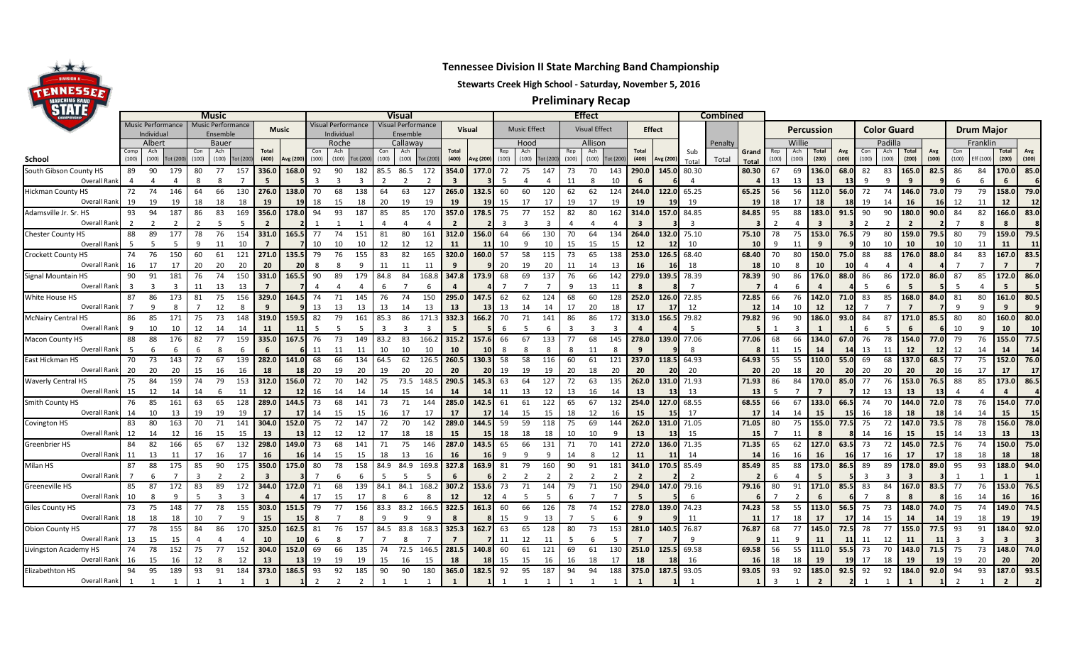

## **Tennessee Division II State Marching Band Championship**

## **Stewarts Creek High School - Saturday, November 5, 2016**

**Preliminary Recap**

| Music Performance<br>Music Performance<br>Visual Performance<br>Visual Performance<br><b>Color Guard</b><br><b>Drum Major</b><br>Visual<br><b>Visual Effect</b><br><b>Effect</b><br>Percussion<br><b>Music Effect</b><br>Music<br>Individua<br>Ensembl<br>Ensembl<br>ndividua<br>Albert<br>Callaway<br>Allison<br>Padilla<br><b>Bauer</b><br>Roche<br>Hood<br>Willie<br>Franklin<br>Penalty<br>Ach<br>Ach<br>Ach<br><b>Total</b><br>Con<br>Ach<br>Ach<br><b>Total</b><br>Ach<br>Ach<br>Total<br>Total<br>Avg<br>Total<br>Total<br>Avg<br>Con<br>Sub<br>Rep<br>Con<br>Avg<br>Grand<br>(100)<br>(100)<br>(100)<br>(100)<br>(100)<br>(100)<br>(100)<br>(200)<br>(100)<br>(100)<br>(100)<br>(400)<br>(100)<br>(100)<br><b>Tot (200</b><br>(100)<br>(100)<br>Tot (200<br>(400)<br>(100)<br>(100)<br>(400)<br>(200)<br>(200)<br>(100)<br>(100)<br>Eff (100)<br>ot (200<br>Avg (200<br>Avg (200<br>(100)<br>Tot (200<br><b>Tot (200</b><br>Avg (200<br>(100)<br>School<br><b>Tot (200</b><br>Total<br>Tota<br>Total<br>South Gibson County HS<br>85.0<br>290.0<br>145.0<br>80.30<br>80.30<br>136.0<br>68.0<br>L65.0<br>86<br>170.0<br>89<br>-90<br>179<br>77<br>157<br>336.0<br>168.0<br>92<br>90<br>182<br>85.5<br>86.5<br>354.0<br>177.0<br>70<br>143<br>67<br>69<br>82<br>83<br>82.5<br>84<br>80<br>172<br>72<br>75<br>147<br>73<br><b>Overall Rank</b><br>13<br>13<br>5<br>6<br>$\Delta$<br>13<br>q<br>3<br>66<br>68<br>63<br>127<br>265.0<br>124<br>244.0<br>56<br>56<br>72<br>74<br>146.0<br>79<br>158.0<br>79.0<br><b>Hickman County HS</b><br>72<br>74<br>146<br>138.0<br>70<br>138<br>60<br>60<br>120<br>62<br>122.0<br>65.25<br>65.25<br>112.0<br>56.0<br>73.0<br>79<br>64<br>130<br>276.0<br>64<br>132.5<br>62<br>19<br>19<br>18<br>19<br>17<br>19<br>19<br>18<br>19<br>12<br>12<br>Overall Rank<br>19<br>18<br>18<br>19<br>18<br>15<br>18<br>20<br>19<br>19<br>17<br>17<br>19<br>19<br>19<br>17<br>18<br>14<br>16<br>11<br>12<br>15<br>84.85<br>180.0<br>166.0<br>83.0<br>93<br>94<br>83<br>169<br>356.0<br>178.0<br>187<br>85<br>170<br>357.0<br>314.0<br>157.0<br>84.85<br>95<br>88<br>183.0<br>90<br>90<br>90.0<br>84<br>82<br>Adamsville Jr. Sr. HS<br>187<br>94<br>93<br>85<br>178.5<br>152<br>162<br>91.5<br><b>Overall Rank</b><br>3<br>80<br>264.0<br>159.0<br>159.0<br>79.5<br>89<br>177<br>78<br>76<br>154<br>331.0<br>165.5<br>74<br>151<br>161<br>312.0<br>64<br>134<br>132.0<br>75.10<br>75.10<br>78<br>153.0<br>76.5<br>79<br>80<br>79.5<br>79<br>88<br>-77<br>81<br>156.0<br>64<br>66<br>130<br>75<br>80<br>70<br>Overall Rank<br>- 5<br>10<br>12<br>12<br>12<br>12<br>10<br>9<br>10<br>10<br>11<br>11<br>11<br>10<br>10<br>10<br>15<br>15<br>10<br>10<br>10<br>11<br>10<br>-11<br>11<br>83.5<br>320.0<br>253.0<br>126.5<br>68.40<br>70<br>150.0<br>88<br>88<br>L76.0<br>167.0<br><b>Crockett County HS</b><br>74<br>76<br>61<br>271.0<br>79<br>82<br>165<br>160.0<br>65<br>138<br>68.40<br>80<br>88.0<br>84<br>83<br>150<br>60<br>121<br>135.5<br>76<br>155<br>83<br>57<br>58<br>115<br>75.0<br>73<br>20<br>Overall Rank<br>16<br>17<br>20<br>13<br>18<br>20<br>20<br>11<br>16<br>10<br>$\overline{7}$<br>$\overline{7}$<br>11<br>20<br>-18<br>8<br>10<br>172.0<br>86.0<br>74<br>331.0<br>84<br>168.8<br>66<br>279.0<br>139.5 78.39<br>90<br>86<br>86<br>86<br>172.0<br>86.0<br>85<br>90<br>91<br>181<br>76<br>150<br>165.5<br>90<br>89<br>179<br>84.8<br>347.8<br>173.9<br>69<br>137<br>142<br>78.39<br>176.0<br>88.0<br>87<br>68<br>Overall Rank<br>13<br>11<br>્વ<br>11<br>1 <sup>5</sup><br>13<br>8<br>80.5<br>161.0<br>74<br>60<br>128<br>252.0<br>126.0<br>72.85<br>72.85<br>142.0<br>83<br>85<br>168.0<br>80<br>White House HS<br>87<br>86<br>173<br>75<br>156<br>329.0<br>164.5<br>71<br>145<br>150<br>295.0<br>147.5<br>124<br>66<br>76<br>71.0<br>84.0<br>81<br>81<br>74<br>62<br>62<br>68<br>76<br>Overall Rank<br>12<br>17<br>12<br>14<br>q<br>13<br>13<br>13<br>20<br>18<br>-12<br>10<br>12<br>8<br>.9<br>13<br>14<br>13<br>-13<br>17<br>14<br>313.0<br>160.0<br>86<br>85<br>73<br>79<br>86<br>171.<br>332.3<br>86<br>172<br>156.5 79.82<br>79.82<br>96<br>90<br>186.0<br>84<br>87<br>171.0<br>80<br>80<br>80.0<br>171<br>75<br>148<br>319.0<br>159.5<br>82<br>161<br>85.3<br>166.2<br>141<br>86<br>93.0<br>85.5<br>70<br>71<br>Overall Rank<br>1 <sup>c</sup><br>10<br>10<br>14<br>83<br>68<br>78<br>Macon County HS<br>88<br>88<br>77<br>166.2<br>68<br>145<br>278.0<br>77.06<br>77.06<br>66<br>134.0<br>76<br>154.0<br>76<br>155.0<br>77.5<br>176<br>82<br>159<br>335.0<br>167.5<br>76<br>73<br>149<br>83.2<br>315.2<br>157.6<br>67<br>133<br>139.0<br>67.0<br>77.0<br>79<br>66<br>$-5$<br>13<br>12<br>Overall Rank<br>6<br>11<br>10<br>10<br>10<br>10<br>11<br>8<br>$\mathbf{q}$<br>$\mathbf{R}$<br>11<br>15<br>14<br>11<br>12<br>14<br>14<br>11<br>11<br>14<br>76.0<br>237.0<br>137.0<br>152.0<br>62<br>260.5<br>130.3<br>121<br>118.5<br>64.93<br>64.93<br>55<br>110.0<br>69<br>68<br>68.5<br>77<br>75<br>East Hickman HS<br>70<br>73<br>143<br>72<br>67<br>139<br>282.0<br>141.0<br>68<br>66<br>134<br>126.<br>58<br>58<br>61<br>55<br>55.0<br>64.5<br>116<br>60<br>20<br><b>Overall Rank</b><br>20<br>20<br>20<br>20<br>20<br>20<br>15<br>16<br>20<br>19<br>20<br>19<br>20<br>19<br>20<br>20<br>18<br>20<br>20<br>16<br>17<br>17<br>18<br>20<br>19<br>19<br>18<br>20<br>20<br>17<br>16<br>20<br>20<br>173.0<br>86.5<br><b>Waverly Central HS</b><br>159<br>73.5<br>290.5<br>135<br>262.0<br>71.93<br>71.93<br>86<br>170.0<br>77<br>153.0<br>88<br>85<br>75<br>84<br>74<br>79<br>153<br>312.0<br>156.0<br>72<br>70<br>142<br>75<br>148.<br>145.3<br>63<br>64<br>127<br>63<br>131.0<br>84<br>85.0<br>76<br>76.5<br>15<br>12<br><b>Overall Rank</b><br>12<br>13<br>13<br>13<br>12<br>13<br>14<br>16<br>14<br>15<br>14<br>13<br>6<br>11<br>14<br>14<br>13<br>16<br>14<br>13<br>Smith County HS<br>154.0<br>76<br>85<br>63<br>65<br>289.0<br>144.5<br>71<br>285.0<br>67<br>132<br>254.0<br>127.0<br>68.55<br>68.55<br>66<br>67<br>133.0<br>74<br>70<br>144.0<br>76<br>77.0<br>161<br>128<br>73<br>68<br>141<br>73<br>144<br>142.5<br>61<br>122<br>66.5<br>72.0<br>78<br>61<br>Overall Rank<br>14<br>19<br>19<br>17<br>15<br>17<br>15<br>16<br>18<br>15<br>10<br>13<br>19<br>17<br>17<br>17<br>12<br>16<br>-17<br>14<br>18<br>14<br>14<br>15<br>14<br>15<br>15<br>16<br>14<br>15<br>15<br>14<br>289.0<br>262.0<br>156.0<br>78.0<br>Covington HS<br>70<br>144.5<br>131.0<br>71.05<br>75<br>155.0<br>75<br>147.0<br>73.5<br>78<br>78<br>83<br>80<br>163<br>71<br>304.0<br>152.0<br>72<br>142<br>59<br>69<br>144<br>71.05<br>80<br>72<br>70<br>141<br>75<br>147<br>72<br>-59<br>118<br>77.5<br>75<br>Overall Rank<br>12<br>15<br>14<br>16<br>15<br>12<br>18<br>18<br>10<br>13<br>13<br>12<br>15<br>13<br>12<br>15<br>- 15<br>11<br>14<br>15<br>13<br>13<br>16<br>Greenbrier HS<br>136.0<br>145.0<br>150.0<br>75.0<br>84<br>82<br>166<br>67<br>298.0<br>149.0<br>75<br>287.0<br>272.0<br>71.35<br>71.35<br>65<br>73<br>72<br>74<br>65<br>132<br>73<br>68<br>141<br>146<br>143.5<br>66<br>141<br>62<br>127.0<br>63.5<br>72.5<br>-76<br>71<br>65<br>131<br>70<br>Overall Rank<br>13<br>11<br>14<br>17<br>17<br>18<br>11<br>17<br>16<br>17<br>16<br>15<br>18<br>13<br>16<br>12<br>14<br>16<br>16<br>18<br>18<br>14<br>15<br><b>16</b><br>16<br>16<br>17 <sup>1</sup><br>Milan HS<br>178.0<br>188.0<br>87<br>88<br>175<br>85<br>90<br>350.0<br>175.0<br>80<br>78<br>84.9<br>169.8<br>327.8<br>181<br>341.0<br>170.5<br>85.49<br>85.49<br>85<br>88<br>173.0<br>89<br>89<br>89.0<br>95<br>93<br>175<br>158<br>84.9<br>163.9<br>79<br>160<br>91<br>86.5<br>81<br>90<br><b>Overall Rank</b><br>$\overline{7}$<br>$\overline{2}$<br>153.0<br>Greeneville HS<br>85<br>172<br>89<br>344.0<br>84.1<br>307.2<br>150<br>294.0<br>79.16<br>79.16<br>171.0<br>84<br>167.0<br>76<br>87<br>172<br>172.0<br>68<br>139<br>168.<br>153.6<br>147.0<br>80<br>83<br>83.5<br>77<br>83<br>71<br>84.1<br>144<br>71<br>91<br>85.5<br>71<br>Overall Rank<br>10<br>16<br>278.0<br>58<br>74.5<br>Giles County HS<br>78<br>77<br>156<br>83.2<br>322.5<br>66<br>74<br>152<br>139.0 74.23<br>74.23<br>55<br>75<br>73<br>148.0<br>75<br>74<br>149.0<br>73<br>75<br>148<br>77<br>155<br>303.0<br>151.5<br>79<br>166.<br>161.3<br>60<br>126<br>113.0<br>56.5<br>74.0<br>83.3<br>78<br><b>Overall Rank</b><br>17<br>18<br>18<br>q<br>15<br>-9<br>11<br>17<br>14<br>15<br>19<br>18<br>19<br>18<br>10<br>q<br>15<br>13<br>-11<br>18<br>14<br>-6<br>Obion County HS<br>77<br>325.3<br>281.0<br>76.87<br>76.87<br>68<br>78<br>77<br>155.0<br>184.0<br>78<br>155<br>86<br>325.0<br>76<br>83.8<br>73<br>153<br>140.5<br>77<br>145.0<br>93<br>91<br>84<br>162.5<br>157<br>84.5<br>168.<br>162.7<br>63<br>128<br>72.5<br>77.5<br>170<br>81<br>13<br>15<br>Overall Rank<br>$\overline{7}$<br>11<br>11<br>11<br>12<br>10<br>q<br>-3<br>3<br>11<br>Livingston Academy HS<br>148.0<br>77<br>304.0<br>72.5<br>146.5<br>281.5<br>130<br>251.0<br>125.5<br>69.58<br>69.58<br>55<br>73<br>143.0<br>73<br>74<br>78<br>152<br>75<br>152<br>152.0<br>69<br>66<br>135<br>74<br>140.8<br>121<br>61<br>56<br>111.0<br>55.5<br>70<br>71.5<br>75<br>60<br>69<br>17<br>16<br>15<br>12<br>13<br>16<br>19<br>20<br>20<br>Overall Rank<br>12<br>19<br>19<br>15<br>16<br>15<br>18<br>15<br>17<br>18<br>18<br>18<br>19<br>18<br>19<br>19<br>15<br>18<br>16<br>-16<br>187.0<br>93.5<br>188<br>375.0<br>187.5<br>93<br>92<br>92<br>92<br>184.0<br>93<br>Elizabethton HS<br>94<br>95<br>189<br>93<br>91<br>184<br>373.0<br>186.5<br>92<br>185<br>90<br>180<br>365.0<br>182.5<br>92<br>95<br>187<br>94<br>93.05<br>93.05<br>185.0<br>92.5<br>92.0<br>94<br>93<br>90<br>94<br>Overall Rank |                           | <b>Music</b> |  |  |  |  |  |  |  | Visual |  |  |  |  |  |  |  | <b>Effect</b> |  |  |  |  |  |  |  | <b>Combined</b> |  |  |  |  |  |  |  |      |
|---------------------------------------------------------------------------------------------------------------------------------------------------------------------------------------------------------------------------------------------------------------------------------------------------------------------------------------------------------------------------------------------------------------------------------------------------------------------------------------------------------------------------------------------------------------------------------------------------------------------------------------------------------------------------------------------------------------------------------------------------------------------------------------------------------------------------------------------------------------------------------------------------------------------------------------------------------------------------------------------------------------------------------------------------------------------------------------------------------------------------------------------------------------------------------------------------------------------------------------------------------------------------------------------------------------------------------------------------------------------------------------------------------------------------------------------------------------------------------------------------------------------------------------------------------------------------------------------------------------------------------------------------------------------------------------------------------------------------------------------------------------------------------------------------------------------------------------------------------------------------------------------------------------------------------------------------------------------------------------------------------------------------------------------------------------------------------------------------------------------------------------------------------------------------------------------------------------------------------------------------------------------------------------------------------------------------------------------------------------------------------------------------------------------------------------------------------------------------------------------------------------------------------------------------------------------------------------------------------------------------------------------------------------------------------------------------------------------------------------------------------------------------------------------------------------------------------------------------------------------------------------------------------------------------------------------------------------------------------------------------------------------------------------------------------------------------------------------------------------------------------------------------------------------------------------------------------------------------------------------------------------------------------------------------------------------------------------------------------------------------------------------------------------------------------------------------------------------------------------------------------------------------------------------------------------------------------------------------------------------------------------------------------------------------------------------------------------------------------------------------------------------------------------------------------------------------------------------------------------------------------------------------------------------------------------------------------------------------------------------------------------------------------------------------------------------------------------------------------------------------------------------------------------------------------------------------------------------------------------------------------------------------------------------------------------------------------------------------------------------------------------------------------------------------------------------------------------------------------------------------------------------------------------------------------------------------------------------------------------------------------------------------------------------------------------------------------------------------------------------------------------------------------------------------------------------------------------------------------------------------------------------------------------------------------------------------------------------------------------------------------------------------------------------------------------------------------------------------------------------------------------------------------------------------------------------------------------------------------------------------------------------------------------------------------------------------------------------------------------------------------------------------------------------------------------------------------------------------------------------------------------------------------------------------------------------------------------------------------------------------------------------------------------------------------------------------------------------------------------------------------------------------------------------------------------------------------------------------------------------------------------------------------------------------------------------------------------------------------------------------------------------------------------------------------------------------------------------------------------------------------------------------------------------------------------------------------------------------------------------------------------------------------------------------------------------------------------------------------------------------------------------------------------------------------------------------------------------------------------------------------------------------------------------------------------------------------------------------------------------------------------------------------------------------------------------------------------------------------------------------------------------------------------------------------------------------------------------------------------------------------------------------------------------------------------------------------------------------------------------------------------------------------------------------------------------------------------------------------------------------------------------------------------------------------------------------------------------------------------------------------------------------------------------------------------------------------------------------------------------------------------------------------------------------------------------------------------------------------------------------------------------------------------------------------------------------------------------------------------------------------------------------------------------------------------------------------------------------------------------------------------------------------------------------------------------------------------------------------------------------------------------------------------------------------------------------------------------------------------------------------------------------------------------------------------------------------------------------------------------------------------------------------------------------------------------------------------------------------------------------------------------------------------------------------------------------------------------------------------------------------------------------------------------------------------------------------------------------------------------------------------------------------------------------------------------------------------------------------------------------------------------------------------------------------------------------------------------------------------------------------------------------------------------------------------------------------------------------------------------------------------------------------------------------------------------------------------------------------------------------------------------------------------------------------------------------------------------------------------------------------------------------------------------------------------------------------------------------------------------------------------------------------------------------------------------------------------------------------------------------------------------------------------------------------------------------------------------------------------------------------------------------------------------------------------------------------------------------------------------------------------------------|---------------------------|--------------|--|--|--|--|--|--|--|--------|--|--|--|--|--|--|--|---------------|--|--|--|--|--|--|--|-----------------|--|--|--|--|--|--|--|------|
|                                                                                                                                                                                                                                                                                                                                                                                                                                                                                                                                                                                                                                                                                                                                                                                                                                                                                                                                                                                                                                                                                                                                                                                                                                                                                                                                                                                                                                                                                                                                                                                                                                                                                                                                                                                                                                                                                                                                                                                                                                                                                                                                                                                                                                                                                                                                                                                                                                                                                                                                                                                                                                                                                                                                                                                                                                                                                                                                                                                                                                                                                                                                                                                                                                                                                                                                                                                                                                                                                                                                                                                                                                                                                                                                                                                                                                                                                                                                                                                                                                                                                                                                                                                                                                                                                                                                                                                                                                                                                                                                                                                                                                                                                                                                                                                                                                                                                                                                                                                                                                                                                                                                                                                                                                                                                                                                                                                                                                                                                                                                                                                                                                                                                                                                                                                                                                                                                                                                                                                                                                                                                                                                                                                                                                                                                                                                                                                                                                                                                                                                                                                                                                                                                                                                                                                                                                                                                                                                                                                                                                                                                                                                                                                                                                                                                                                                                                                                                                                                                                                                                                                                                                                                                                                                                                                                                                                                                                                                                                                                                                                                                                                                                                                                                                                                                                                                                                                                                                                                                                                                                                                                                                                                                                                                                                                                                                                                                                                                                                                                                                                                                                                                                                                                                                                                                                                                                                                                                                                                                                                                                                                                                                                   |                           |              |  |  |  |  |  |  |  |        |  |  |  |  |  |  |  |               |  |  |  |  |  |  |  |                 |  |  |  |  |  |  |  |      |
|                                                                                                                                                                                                                                                                                                                                                                                                                                                                                                                                                                                                                                                                                                                                                                                                                                                                                                                                                                                                                                                                                                                                                                                                                                                                                                                                                                                                                                                                                                                                                                                                                                                                                                                                                                                                                                                                                                                                                                                                                                                                                                                                                                                                                                                                                                                                                                                                                                                                                                                                                                                                                                                                                                                                                                                                                                                                                                                                                                                                                                                                                                                                                                                                                                                                                                                                                                                                                                                                                                                                                                                                                                                                                                                                                                                                                                                                                                                                                                                                                                                                                                                                                                                                                                                                                                                                                                                                                                                                                                                                                                                                                                                                                                                                                                                                                                                                                                                                                                                                                                                                                                                                                                                                                                                                                                                                                                                                                                                                                                                                                                                                                                                                                                                                                                                                                                                                                                                                                                                                                                                                                                                                                                                                                                                                                                                                                                                                                                                                                                                                                                                                                                                                                                                                                                                                                                                                                                                                                                                                                                                                                                                                                                                                                                                                                                                                                                                                                                                                                                                                                                                                                                                                                                                                                                                                                                                                                                                                                                                                                                                                                                                                                                                                                                                                                                                                                                                                                                                                                                                                                                                                                                                                                                                                                                                                                                                                                                                                                                                                                                                                                                                                                                                                                                                                                                                                                                                                                                                                                                                                                                                                                                                   |                           |              |  |  |  |  |  |  |  |        |  |  |  |  |  |  |  |               |  |  |  |  |  |  |  |                 |  |  |  |  |  |  |  |      |
|                                                                                                                                                                                                                                                                                                                                                                                                                                                                                                                                                                                                                                                                                                                                                                                                                                                                                                                                                                                                                                                                                                                                                                                                                                                                                                                                                                                                                                                                                                                                                                                                                                                                                                                                                                                                                                                                                                                                                                                                                                                                                                                                                                                                                                                                                                                                                                                                                                                                                                                                                                                                                                                                                                                                                                                                                                                                                                                                                                                                                                                                                                                                                                                                                                                                                                                                                                                                                                                                                                                                                                                                                                                                                                                                                                                                                                                                                                                                                                                                                                                                                                                                                                                                                                                                                                                                                                                                                                                                                                                                                                                                                                                                                                                                                                                                                                                                                                                                                                                                                                                                                                                                                                                                                                                                                                                                                                                                                                                                                                                                                                                                                                                                                                                                                                                                                                                                                                                                                                                                                                                                                                                                                                                                                                                                                                                                                                                                                                                                                                                                                                                                                                                                                                                                                                                                                                                                                                                                                                                                                                                                                                                                                                                                                                                                                                                                                                                                                                                                                                                                                                                                                                                                                                                                                                                                                                                                                                                                                                                                                                                                                                                                                                                                                                                                                                                                                                                                                                                                                                                                                                                                                                                                                                                                                                                                                                                                                                                                                                                                                                                                                                                                                                                                                                                                                                                                                                                                                                                                                                                                                                                                                                                   |                           |              |  |  |  |  |  |  |  |        |  |  |  |  |  |  |  |               |  |  |  |  |  |  |  |                 |  |  |  |  |  |  |  |      |
|                                                                                                                                                                                                                                                                                                                                                                                                                                                                                                                                                                                                                                                                                                                                                                                                                                                                                                                                                                                                                                                                                                                                                                                                                                                                                                                                                                                                                                                                                                                                                                                                                                                                                                                                                                                                                                                                                                                                                                                                                                                                                                                                                                                                                                                                                                                                                                                                                                                                                                                                                                                                                                                                                                                                                                                                                                                                                                                                                                                                                                                                                                                                                                                                                                                                                                                                                                                                                                                                                                                                                                                                                                                                                                                                                                                                                                                                                                                                                                                                                                                                                                                                                                                                                                                                                                                                                                                                                                                                                                                                                                                                                                                                                                                                                                                                                                                                                                                                                                                                                                                                                                                                                                                                                                                                                                                                                                                                                                                                                                                                                                                                                                                                                                                                                                                                                                                                                                                                                                                                                                                                                                                                                                                                                                                                                                                                                                                                                                                                                                                                                                                                                                                                                                                                                                                                                                                                                                                                                                                                                                                                                                                                                                                                                                                                                                                                                                                                                                                                                                                                                                                                                                                                                                                                                                                                                                                                                                                                                                                                                                                                                                                                                                                                                                                                                                                                                                                                                                                                                                                                                                                                                                                                                                                                                                                                                                                                                                                                                                                                                                                                                                                                                                                                                                                                                                                                                                                                                                                                                                                                                                                                                                                   |                           |              |  |  |  |  |  |  |  |        |  |  |  |  |  |  |  |               |  |  |  |  |  |  |  |                 |  |  |  |  |  |  |  |      |
|                                                                                                                                                                                                                                                                                                                                                                                                                                                                                                                                                                                                                                                                                                                                                                                                                                                                                                                                                                                                                                                                                                                                                                                                                                                                                                                                                                                                                                                                                                                                                                                                                                                                                                                                                                                                                                                                                                                                                                                                                                                                                                                                                                                                                                                                                                                                                                                                                                                                                                                                                                                                                                                                                                                                                                                                                                                                                                                                                                                                                                                                                                                                                                                                                                                                                                                                                                                                                                                                                                                                                                                                                                                                                                                                                                                                                                                                                                                                                                                                                                                                                                                                                                                                                                                                                                                                                                                                                                                                                                                                                                                                                                                                                                                                                                                                                                                                                                                                                                                                                                                                                                                                                                                                                                                                                                                                                                                                                                                                                                                                                                                                                                                                                                                                                                                                                                                                                                                                                                                                                                                                                                                                                                                                                                                                                                                                                                                                                                                                                                                                                                                                                                                                                                                                                                                                                                                                                                                                                                                                                                                                                                                                                                                                                                                                                                                                                                                                                                                                                                                                                                                                                                                                                                                                                                                                                                                                                                                                                                                                                                                                                                                                                                                                                                                                                                                                                                                                                                                                                                                                                                                                                                                                                                                                                                                                                                                                                                                                                                                                                                                                                                                                                                                                                                                                                                                                                                                                                                                                                                                                                                                                                                                   |                           |              |  |  |  |  |  |  |  |        |  |  |  |  |  |  |  |               |  |  |  |  |  |  |  |                 |  |  |  |  |  |  |  |      |
|                                                                                                                                                                                                                                                                                                                                                                                                                                                                                                                                                                                                                                                                                                                                                                                                                                                                                                                                                                                                                                                                                                                                                                                                                                                                                                                                                                                                                                                                                                                                                                                                                                                                                                                                                                                                                                                                                                                                                                                                                                                                                                                                                                                                                                                                                                                                                                                                                                                                                                                                                                                                                                                                                                                                                                                                                                                                                                                                                                                                                                                                                                                                                                                                                                                                                                                                                                                                                                                                                                                                                                                                                                                                                                                                                                                                                                                                                                                                                                                                                                                                                                                                                                                                                                                                                                                                                                                                                                                                                                                                                                                                                                                                                                                                                                                                                                                                                                                                                                                                                                                                                                                                                                                                                                                                                                                                                                                                                                                                                                                                                                                                                                                                                                                                                                                                                                                                                                                                                                                                                                                                                                                                                                                                                                                                                                                                                                                                                                                                                                                                                                                                                                                                                                                                                                                                                                                                                                                                                                                                                                                                                                                                                                                                                                                                                                                                                                                                                                                                                                                                                                                                                                                                                                                                                                                                                                                                                                                                                                                                                                                                                                                                                                                                                                                                                                                                                                                                                                                                                                                                                                                                                                                                                                                                                                                                                                                                                                                                                                                                                                                                                                                                                                                                                                                                                                                                                                                                                                                                                                                                                                                                                                                   |                           |              |  |  |  |  |  |  |  |        |  |  |  |  |  |  |  |               |  |  |  |  |  |  |  |                 |  |  |  |  |  |  |  |      |
|                                                                                                                                                                                                                                                                                                                                                                                                                                                                                                                                                                                                                                                                                                                                                                                                                                                                                                                                                                                                                                                                                                                                                                                                                                                                                                                                                                                                                                                                                                                                                                                                                                                                                                                                                                                                                                                                                                                                                                                                                                                                                                                                                                                                                                                                                                                                                                                                                                                                                                                                                                                                                                                                                                                                                                                                                                                                                                                                                                                                                                                                                                                                                                                                                                                                                                                                                                                                                                                                                                                                                                                                                                                                                                                                                                                                                                                                                                                                                                                                                                                                                                                                                                                                                                                                                                                                                                                                                                                                                                                                                                                                                                                                                                                                                                                                                                                                                                                                                                                                                                                                                                                                                                                                                                                                                                                                                                                                                                                                                                                                                                                                                                                                                                                                                                                                                                                                                                                                                                                                                                                                                                                                                                                                                                                                                                                                                                                                                                                                                                                                                                                                                                                                                                                                                                                                                                                                                                                                                                                                                                                                                                                                                                                                                                                                                                                                                                                                                                                                                                                                                                                                                                                                                                                                                                                                                                                                                                                                                                                                                                                                                                                                                                                                                                                                                                                                                                                                                                                                                                                                                                                                                                                                                                                                                                                                                                                                                                                                                                                                                                                                                                                                                                                                                                                                                                                                                                                                                                                                                                                                                                                                                                                   |                           |              |  |  |  |  |  |  |  |        |  |  |  |  |  |  |  |               |  |  |  |  |  |  |  |                 |  |  |  |  |  |  |  |      |
|                                                                                                                                                                                                                                                                                                                                                                                                                                                                                                                                                                                                                                                                                                                                                                                                                                                                                                                                                                                                                                                                                                                                                                                                                                                                                                                                                                                                                                                                                                                                                                                                                                                                                                                                                                                                                                                                                                                                                                                                                                                                                                                                                                                                                                                                                                                                                                                                                                                                                                                                                                                                                                                                                                                                                                                                                                                                                                                                                                                                                                                                                                                                                                                                                                                                                                                                                                                                                                                                                                                                                                                                                                                                                                                                                                                                                                                                                                                                                                                                                                                                                                                                                                                                                                                                                                                                                                                                                                                                                                                                                                                                                                                                                                                                                                                                                                                                                                                                                                                                                                                                                                                                                                                                                                                                                                                                                                                                                                                                                                                                                                                                                                                                                                                                                                                                                                                                                                                                                                                                                                                                                                                                                                                                                                                                                                                                                                                                                                                                                                                                                                                                                                                                                                                                                                                                                                                                                                                                                                                                                                                                                                                                                                                                                                                                                                                                                                                                                                                                                                                                                                                                                                                                                                                                                                                                                                                                                                                                                                                                                                                                                                                                                                                                                                                                                                                                                                                                                                                                                                                                                                                                                                                                                                                                                                                                                                                                                                                                                                                                                                                                                                                                                                                                                                                                                                                                                                                                                                                                                                                                                                                                                                                   |                           |              |  |  |  |  |  |  |  |        |  |  |  |  |  |  |  |               |  |  |  |  |  |  |  |                 |  |  |  |  |  |  |  |      |
|                                                                                                                                                                                                                                                                                                                                                                                                                                                                                                                                                                                                                                                                                                                                                                                                                                                                                                                                                                                                                                                                                                                                                                                                                                                                                                                                                                                                                                                                                                                                                                                                                                                                                                                                                                                                                                                                                                                                                                                                                                                                                                                                                                                                                                                                                                                                                                                                                                                                                                                                                                                                                                                                                                                                                                                                                                                                                                                                                                                                                                                                                                                                                                                                                                                                                                                                                                                                                                                                                                                                                                                                                                                                                                                                                                                                                                                                                                                                                                                                                                                                                                                                                                                                                                                                                                                                                                                                                                                                                                                                                                                                                                                                                                                                                                                                                                                                                                                                                                                                                                                                                                                                                                                                                                                                                                                                                                                                                                                                                                                                                                                                                                                                                                                                                                                                                                                                                                                                                                                                                                                                                                                                                                                                                                                                                                                                                                                                                                                                                                                                                                                                                                                                                                                                                                                                                                                                                                                                                                                                                                                                                                                                                                                                                                                                                                                                                                                                                                                                                                                                                                                                                                                                                                                                                                                                                                                                                                                                                                                                                                                                                                                                                                                                                                                                                                                                                                                                                                                                                                                                                                                                                                                                                                                                                                                                                                                                                                                                                                                                                                                                                                                                                                                                                                                                                                                                                                                                                                                                                                                                                                                                                                                   |                           |              |  |  |  |  |  |  |  |        |  |  |  |  |  |  |  |               |  |  |  |  |  |  |  |                 |  |  |  |  |  |  |  |      |
|                                                                                                                                                                                                                                                                                                                                                                                                                                                                                                                                                                                                                                                                                                                                                                                                                                                                                                                                                                                                                                                                                                                                                                                                                                                                                                                                                                                                                                                                                                                                                                                                                                                                                                                                                                                                                                                                                                                                                                                                                                                                                                                                                                                                                                                                                                                                                                                                                                                                                                                                                                                                                                                                                                                                                                                                                                                                                                                                                                                                                                                                                                                                                                                                                                                                                                                                                                                                                                                                                                                                                                                                                                                                                                                                                                                                                                                                                                                                                                                                                                                                                                                                                                                                                                                                                                                                                                                                                                                                                                                                                                                                                                                                                                                                                                                                                                                                                                                                                                                                                                                                                                                                                                                                                                                                                                                                                                                                                                                                                                                                                                                                                                                                                                                                                                                                                                                                                                                                                                                                                                                                                                                                                                                                                                                                                                                                                                                                                                                                                                                                                                                                                                                                                                                                                                                                                                                                                                                                                                                                                                                                                                                                                                                                                                                                                                                                                                                                                                                                                                                                                                                                                                                                                                                                                                                                                                                                                                                                                                                                                                                                                                                                                                                                                                                                                                                                                                                                                                                                                                                                                                                                                                                                                                                                                                                                                                                                                                                                                                                                                                                                                                                                                                                                                                                                                                                                                                                                                                                                                                                                                                                                                                                   | Chester County HS         |              |  |  |  |  |  |  |  |        |  |  |  |  |  |  |  |               |  |  |  |  |  |  |  |                 |  |  |  |  |  |  |  |      |
|                                                                                                                                                                                                                                                                                                                                                                                                                                                                                                                                                                                                                                                                                                                                                                                                                                                                                                                                                                                                                                                                                                                                                                                                                                                                                                                                                                                                                                                                                                                                                                                                                                                                                                                                                                                                                                                                                                                                                                                                                                                                                                                                                                                                                                                                                                                                                                                                                                                                                                                                                                                                                                                                                                                                                                                                                                                                                                                                                                                                                                                                                                                                                                                                                                                                                                                                                                                                                                                                                                                                                                                                                                                                                                                                                                                                                                                                                                                                                                                                                                                                                                                                                                                                                                                                                                                                                                                                                                                                                                                                                                                                                                                                                                                                                                                                                                                                                                                                                                                                                                                                                                                                                                                                                                                                                                                                                                                                                                                                                                                                                                                                                                                                                                                                                                                                                                                                                                                                                                                                                                                                                                                                                                                                                                                                                                                                                                                                                                                                                                                                                                                                                                                                                                                                                                                                                                                                                                                                                                                                                                                                                                                                                                                                                                                                                                                                                                                                                                                                                                                                                                                                                                                                                                                                                                                                                                                                                                                                                                                                                                                                                                                                                                                                                                                                                                                                                                                                                                                                                                                                                                                                                                                                                                                                                                                                                                                                                                                                                                                                                                                                                                                                                                                                                                                                                                                                                                                                                                                                                                                                                                                                                                                   |                           |              |  |  |  |  |  |  |  |        |  |  |  |  |  |  |  |               |  |  |  |  |  |  |  |                 |  |  |  |  |  |  |  |      |
|                                                                                                                                                                                                                                                                                                                                                                                                                                                                                                                                                                                                                                                                                                                                                                                                                                                                                                                                                                                                                                                                                                                                                                                                                                                                                                                                                                                                                                                                                                                                                                                                                                                                                                                                                                                                                                                                                                                                                                                                                                                                                                                                                                                                                                                                                                                                                                                                                                                                                                                                                                                                                                                                                                                                                                                                                                                                                                                                                                                                                                                                                                                                                                                                                                                                                                                                                                                                                                                                                                                                                                                                                                                                                                                                                                                                                                                                                                                                                                                                                                                                                                                                                                                                                                                                                                                                                                                                                                                                                                                                                                                                                                                                                                                                                                                                                                                                                                                                                                                                                                                                                                                                                                                                                                                                                                                                                                                                                                                                                                                                                                                                                                                                                                                                                                                                                                                                                                                                                                                                                                                                                                                                                                                                                                                                                                                                                                                                                                                                                                                                                                                                                                                                                                                                                                                                                                                                                                                                                                                                                                                                                                                                                                                                                                                                                                                                                                                                                                                                                                                                                                                                                                                                                                                                                                                                                                                                                                                                                                                                                                                                                                                                                                                                                                                                                                                                                                                                                                                                                                                                                                                                                                                                                                                                                                                                                                                                                                                                                                                                                                                                                                                                                                                                                                                                                                                                                                                                                                                                                                                                                                                                                                                   |                           |              |  |  |  |  |  |  |  |        |  |  |  |  |  |  |  |               |  |  |  |  |  |  |  |                 |  |  |  |  |  |  |  |      |
|                                                                                                                                                                                                                                                                                                                                                                                                                                                                                                                                                                                                                                                                                                                                                                                                                                                                                                                                                                                                                                                                                                                                                                                                                                                                                                                                                                                                                                                                                                                                                                                                                                                                                                                                                                                                                                                                                                                                                                                                                                                                                                                                                                                                                                                                                                                                                                                                                                                                                                                                                                                                                                                                                                                                                                                                                                                                                                                                                                                                                                                                                                                                                                                                                                                                                                                                                                                                                                                                                                                                                                                                                                                                                                                                                                                                                                                                                                                                                                                                                                                                                                                                                                                                                                                                                                                                                                                                                                                                                                                                                                                                                                                                                                                                                                                                                                                                                                                                                                                                                                                                                                                                                                                                                                                                                                                                                                                                                                                                                                                                                                                                                                                                                                                                                                                                                                                                                                                                                                                                                                                                                                                                                                                                                                                                                                                                                                                                                                                                                                                                                                                                                                                                                                                                                                                                                                                                                                                                                                                                                                                                                                                                                                                                                                                                                                                                                                                                                                                                                                                                                                                                                                                                                                                                                                                                                                                                                                                                                                                                                                                                                                                                                                                                                                                                                                                                                                                                                                                                                                                                                                                                                                                                                                                                                                                                                                                                                                                                                                                                                                                                                                                                                                                                                                                                                                                                                                                                                                                                                                                                                                                                                                                   |                           |              |  |  |  |  |  |  |  |        |  |  |  |  |  |  |  |               |  |  |  |  |  |  |  |                 |  |  |  |  |  |  |  |      |
|                                                                                                                                                                                                                                                                                                                                                                                                                                                                                                                                                                                                                                                                                                                                                                                                                                                                                                                                                                                                                                                                                                                                                                                                                                                                                                                                                                                                                                                                                                                                                                                                                                                                                                                                                                                                                                                                                                                                                                                                                                                                                                                                                                                                                                                                                                                                                                                                                                                                                                                                                                                                                                                                                                                                                                                                                                                                                                                                                                                                                                                                                                                                                                                                                                                                                                                                                                                                                                                                                                                                                                                                                                                                                                                                                                                                                                                                                                                                                                                                                                                                                                                                                                                                                                                                                                                                                                                                                                                                                                                                                                                                                                                                                                                                                                                                                                                                                                                                                                                                                                                                                                                                                                                                                                                                                                                                                                                                                                                                                                                                                                                                                                                                                                                                                                                                                                                                                                                                                                                                                                                                                                                                                                                                                                                                                                                                                                                                                                                                                                                                                                                                                                                                                                                                                                                                                                                                                                                                                                                                                                                                                                                                                                                                                                                                                                                                                                                                                                                                                                                                                                                                                                                                                                                                                                                                                                                                                                                                                                                                                                                                                                                                                                                                                                                                                                                                                                                                                                                                                                                                                                                                                                                                                                                                                                                                                                                                                                                                                                                                                                                                                                                                                                                                                                                                                                                                                                                                                                                                                                                                                                                                                                                   | Signal Mountain HS        |              |  |  |  |  |  |  |  |        |  |  |  |  |  |  |  |               |  |  |  |  |  |  |  |                 |  |  |  |  |  |  |  |      |
|                                                                                                                                                                                                                                                                                                                                                                                                                                                                                                                                                                                                                                                                                                                                                                                                                                                                                                                                                                                                                                                                                                                                                                                                                                                                                                                                                                                                                                                                                                                                                                                                                                                                                                                                                                                                                                                                                                                                                                                                                                                                                                                                                                                                                                                                                                                                                                                                                                                                                                                                                                                                                                                                                                                                                                                                                                                                                                                                                                                                                                                                                                                                                                                                                                                                                                                                                                                                                                                                                                                                                                                                                                                                                                                                                                                                                                                                                                                                                                                                                                                                                                                                                                                                                                                                                                                                                                                                                                                                                                                                                                                                                                                                                                                                                                                                                                                                                                                                                                                                                                                                                                                                                                                                                                                                                                                                                                                                                                                                                                                                                                                                                                                                                                                                                                                                                                                                                                                                                                                                                                                                                                                                                                                                                                                                                                                                                                                                                                                                                                                                                                                                                                                                                                                                                                                                                                                                                                                                                                                                                                                                                                                                                                                                                                                                                                                                                                                                                                                                                                                                                                                                                                                                                                                                                                                                                                                                                                                                                                                                                                                                                                                                                                                                                                                                                                                                                                                                                                                                                                                                                                                                                                                                                                                                                                                                                                                                                                                                                                                                                                                                                                                                                                                                                                                                                                                                                                                                                                                                                                                                                                                                                                                   |                           |              |  |  |  |  |  |  |  |        |  |  |  |  |  |  |  |               |  |  |  |  |  |  |  |                 |  |  |  |  |  |  |  |      |
|                                                                                                                                                                                                                                                                                                                                                                                                                                                                                                                                                                                                                                                                                                                                                                                                                                                                                                                                                                                                                                                                                                                                                                                                                                                                                                                                                                                                                                                                                                                                                                                                                                                                                                                                                                                                                                                                                                                                                                                                                                                                                                                                                                                                                                                                                                                                                                                                                                                                                                                                                                                                                                                                                                                                                                                                                                                                                                                                                                                                                                                                                                                                                                                                                                                                                                                                                                                                                                                                                                                                                                                                                                                                                                                                                                                                                                                                                                                                                                                                                                                                                                                                                                                                                                                                                                                                                                                                                                                                                                                                                                                                                                                                                                                                                                                                                                                                                                                                                                                                                                                                                                                                                                                                                                                                                                                                                                                                                                                                                                                                                                                                                                                                                                                                                                                                                                                                                                                                                                                                                                                                                                                                                                                                                                                                                                                                                                                                                                                                                                                                                                                                                                                                                                                                                                                                                                                                                                                                                                                                                                                                                                                                                                                                                                                                                                                                                                                                                                                                                                                                                                                                                                                                                                                                                                                                                                                                                                                                                                                                                                                                                                                                                                                                                                                                                                                                                                                                                                                                                                                                                                                                                                                                                                                                                                                                                                                                                                                                                                                                                                                                                                                                                                                                                                                                                                                                                                                                                                                                                                                                                                                                                                                   |                           |              |  |  |  |  |  |  |  |        |  |  |  |  |  |  |  |               |  |  |  |  |  |  |  |                 |  |  |  |  |  |  |  |      |
|                                                                                                                                                                                                                                                                                                                                                                                                                                                                                                                                                                                                                                                                                                                                                                                                                                                                                                                                                                                                                                                                                                                                                                                                                                                                                                                                                                                                                                                                                                                                                                                                                                                                                                                                                                                                                                                                                                                                                                                                                                                                                                                                                                                                                                                                                                                                                                                                                                                                                                                                                                                                                                                                                                                                                                                                                                                                                                                                                                                                                                                                                                                                                                                                                                                                                                                                                                                                                                                                                                                                                                                                                                                                                                                                                                                                                                                                                                                                                                                                                                                                                                                                                                                                                                                                                                                                                                                                                                                                                                                                                                                                                                                                                                                                                                                                                                                                                                                                                                                                                                                                                                                                                                                                                                                                                                                                                                                                                                                                                                                                                                                                                                                                                                                                                                                                                                                                                                                                                                                                                                                                                                                                                                                                                                                                                                                                                                                                                                                                                                                                                                                                                                                                                                                                                                                                                                                                                                                                                                                                                                                                                                                                                                                                                                                                                                                                                                                                                                                                                                                                                                                                                                                                                                                                                                                                                                                                                                                                                                                                                                                                                                                                                                                                                                                                                                                                                                                                                                                                                                                                                                                                                                                                                                                                                                                                                                                                                                                                                                                                                                                                                                                                                                                                                                                                                                                                                                                                                                                                                                                                                                                                                                                   |                           |              |  |  |  |  |  |  |  |        |  |  |  |  |  |  |  |               |  |  |  |  |  |  |  |                 |  |  |  |  |  |  |  |      |
|                                                                                                                                                                                                                                                                                                                                                                                                                                                                                                                                                                                                                                                                                                                                                                                                                                                                                                                                                                                                                                                                                                                                                                                                                                                                                                                                                                                                                                                                                                                                                                                                                                                                                                                                                                                                                                                                                                                                                                                                                                                                                                                                                                                                                                                                                                                                                                                                                                                                                                                                                                                                                                                                                                                                                                                                                                                                                                                                                                                                                                                                                                                                                                                                                                                                                                                                                                                                                                                                                                                                                                                                                                                                                                                                                                                                                                                                                                                                                                                                                                                                                                                                                                                                                                                                                                                                                                                                                                                                                                                                                                                                                                                                                                                                                                                                                                                                                                                                                                                                                                                                                                                                                                                                                                                                                                                                                                                                                                                                                                                                                                                                                                                                                                                                                                                                                                                                                                                                                                                                                                                                                                                                                                                                                                                                                                                                                                                                                                                                                                                                                                                                                                                                                                                                                                                                                                                                                                                                                                                                                                                                                                                                                                                                                                                                                                                                                                                                                                                                                                                                                                                                                                                                                                                                                                                                                                                                                                                                                                                                                                                                                                                                                                                                                                                                                                                                                                                                                                                                                                                                                                                                                                                                                                                                                                                                                                                                                                                                                                                                                                                                                                                                                                                                                                                                                                                                                                                                                                                                                                                                                                                                                                                   | <b>McNairy Central HS</b> |              |  |  |  |  |  |  |  |        |  |  |  |  |  |  |  |               |  |  |  |  |  |  |  |                 |  |  |  |  |  |  |  |      |
|                                                                                                                                                                                                                                                                                                                                                                                                                                                                                                                                                                                                                                                                                                                                                                                                                                                                                                                                                                                                                                                                                                                                                                                                                                                                                                                                                                                                                                                                                                                                                                                                                                                                                                                                                                                                                                                                                                                                                                                                                                                                                                                                                                                                                                                                                                                                                                                                                                                                                                                                                                                                                                                                                                                                                                                                                                                                                                                                                                                                                                                                                                                                                                                                                                                                                                                                                                                                                                                                                                                                                                                                                                                                                                                                                                                                                                                                                                                                                                                                                                                                                                                                                                                                                                                                                                                                                                                                                                                                                                                                                                                                                                                                                                                                                                                                                                                                                                                                                                                                                                                                                                                                                                                                                                                                                                                                                                                                                                                                                                                                                                                                                                                                                                                                                                                                                                                                                                                                                                                                                                                                                                                                                                                                                                                                                                                                                                                                                                                                                                                                                                                                                                                                                                                                                                                                                                                                                                                                                                                                                                                                                                                                                                                                                                                                                                                                                                                                                                                                                                                                                                                                                                                                                                                                                                                                                                                                                                                                                                                                                                                                                                                                                                                                                                                                                                                                                                                                                                                                                                                                                                                                                                                                                                                                                                                                                                                                                                                                                                                                                                                                                                                                                                                                                                                                                                                                                                                                                                                                                                                                                                                                                                                   |                           |              |  |  |  |  |  |  |  |        |  |  |  |  |  |  |  |               |  |  |  |  |  |  |  |                 |  |  |  |  |  |  |  |      |
|                                                                                                                                                                                                                                                                                                                                                                                                                                                                                                                                                                                                                                                                                                                                                                                                                                                                                                                                                                                                                                                                                                                                                                                                                                                                                                                                                                                                                                                                                                                                                                                                                                                                                                                                                                                                                                                                                                                                                                                                                                                                                                                                                                                                                                                                                                                                                                                                                                                                                                                                                                                                                                                                                                                                                                                                                                                                                                                                                                                                                                                                                                                                                                                                                                                                                                                                                                                                                                                                                                                                                                                                                                                                                                                                                                                                                                                                                                                                                                                                                                                                                                                                                                                                                                                                                                                                                                                                                                                                                                                                                                                                                                                                                                                                                                                                                                                                                                                                                                                                                                                                                                                                                                                                                                                                                                                                                                                                                                                                                                                                                                                                                                                                                                                                                                                                                                                                                                                                                                                                                                                                                                                                                                                                                                                                                                                                                                                                                                                                                                                                                                                                                                                                                                                                                                                                                                                                                                                                                                                                                                                                                                                                                                                                                                                                                                                                                                                                                                                                                                                                                                                                                                                                                                                                                                                                                                                                                                                                                                                                                                                                                                                                                                                                                                                                                                                                                                                                                                                                                                                                                                                                                                                                                                                                                                                                                                                                                                                                                                                                                                                                                                                                                                                                                                                                                                                                                                                                                                                                                                                                                                                                                                                   |                           |              |  |  |  |  |  |  |  |        |  |  |  |  |  |  |  |               |  |  |  |  |  |  |  |                 |  |  |  |  |  |  |  |      |
|                                                                                                                                                                                                                                                                                                                                                                                                                                                                                                                                                                                                                                                                                                                                                                                                                                                                                                                                                                                                                                                                                                                                                                                                                                                                                                                                                                                                                                                                                                                                                                                                                                                                                                                                                                                                                                                                                                                                                                                                                                                                                                                                                                                                                                                                                                                                                                                                                                                                                                                                                                                                                                                                                                                                                                                                                                                                                                                                                                                                                                                                                                                                                                                                                                                                                                                                                                                                                                                                                                                                                                                                                                                                                                                                                                                                                                                                                                                                                                                                                                                                                                                                                                                                                                                                                                                                                                                                                                                                                                                                                                                                                                                                                                                                                                                                                                                                                                                                                                                                                                                                                                                                                                                                                                                                                                                                                                                                                                                                                                                                                                                                                                                                                                                                                                                                                                                                                                                                                                                                                                                                                                                                                                                                                                                                                                                                                                                                                                                                                                                                                                                                                                                                                                                                                                                                                                                                                                                                                                                                                                                                                                                                                                                                                                                                                                                                                                                                                                                                                                                                                                                                                                                                                                                                                                                                                                                                                                                                                                                                                                                                                                                                                                                                                                                                                                                                                                                                                                                                                                                                                                                                                                                                                                                                                                                                                                                                                                                                                                                                                                                                                                                                                                                                                                                                                                                                                                                                                                                                                                                                                                                                                                                   |                           |              |  |  |  |  |  |  |  |        |  |  |  |  |  |  |  |               |  |  |  |  |  |  |  |                 |  |  |  |  |  |  |  |      |
|                                                                                                                                                                                                                                                                                                                                                                                                                                                                                                                                                                                                                                                                                                                                                                                                                                                                                                                                                                                                                                                                                                                                                                                                                                                                                                                                                                                                                                                                                                                                                                                                                                                                                                                                                                                                                                                                                                                                                                                                                                                                                                                                                                                                                                                                                                                                                                                                                                                                                                                                                                                                                                                                                                                                                                                                                                                                                                                                                                                                                                                                                                                                                                                                                                                                                                                                                                                                                                                                                                                                                                                                                                                                                                                                                                                                                                                                                                                                                                                                                                                                                                                                                                                                                                                                                                                                                                                                                                                                                                                                                                                                                                                                                                                                                                                                                                                                                                                                                                                                                                                                                                                                                                                                                                                                                                                                                                                                                                                                                                                                                                                                                                                                                                                                                                                                                                                                                                                                                                                                                                                                                                                                                                                                                                                                                                                                                                                                                                                                                                                                                                                                                                                                                                                                                                                                                                                                                                                                                                                                                                                                                                                                                                                                                                                                                                                                                                                                                                                                                                                                                                                                                                                                                                                                                                                                                                                                                                                                                                                                                                                                                                                                                                                                                                                                                                                                                                                                                                                                                                                                                                                                                                                                                                                                                                                                                                                                                                                                                                                                                                                                                                                                                                                                                                                                                                                                                                                                                                                                                                                                                                                                                                                   |                           |              |  |  |  |  |  |  |  |        |  |  |  |  |  |  |  |               |  |  |  |  |  |  |  |                 |  |  |  |  |  |  |  |      |
|                                                                                                                                                                                                                                                                                                                                                                                                                                                                                                                                                                                                                                                                                                                                                                                                                                                                                                                                                                                                                                                                                                                                                                                                                                                                                                                                                                                                                                                                                                                                                                                                                                                                                                                                                                                                                                                                                                                                                                                                                                                                                                                                                                                                                                                                                                                                                                                                                                                                                                                                                                                                                                                                                                                                                                                                                                                                                                                                                                                                                                                                                                                                                                                                                                                                                                                                                                                                                                                                                                                                                                                                                                                                                                                                                                                                                                                                                                                                                                                                                                                                                                                                                                                                                                                                                                                                                                                                                                                                                                                                                                                                                                                                                                                                                                                                                                                                                                                                                                                                                                                                                                                                                                                                                                                                                                                                                                                                                                                                                                                                                                                                                                                                                                                                                                                                                                                                                                                                                                                                                                                                                                                                                                                                                                                                                                                                                                                                                                                                                                                                                                                                                                                                                                                                                                                                                                                                                                                                                                                                                                                                                                                                                                                                                                                                                                                                                                                                                                                                                                                                                                                                                                                                                                                                                                                                                                                                                                                                                                                                                                                                                                                                                                                                                                                                                                                                                                                                                                                                                                                                                                                                                                                                                                                                                                                                                                                                                                                                                                                                                                                                                                                                                                                                                                                                                                                                                                                                                                                                                                                                                                                                                                                   |                           |              |  |  |  |  |  |  |  |        |  |  |  |  |  |  |  |               |  |  |  |  |  |  |  |                 |  |  |  |  |  |  |  |      |
|                                                                                                                                                                                                                                                                                                                                                                                                                                                                                                                                                                                                                                                                                                                                                                                                                                                                                                                                                                                                                                                                                                                                                                                                                                                                                                                                                                                                                                                                                                                                                                                                                                                                                                                                                                                                                                                                                                                                                                                                                                                                                                                                                                                                                                                                                                                                                                                                                                                                                                                                                                                                                                                                                                                                                                                                                                                                                                                                                                                                                                                                                                                                                                                                                                                                                                                                                                                                                                                                                                                                                                                                                                                                                                                                                                                                                                                                                                                                                                                                                                                                                                                                                                                                                                                                                                                                                                                                                                                                                                                                                                                                                                                                                                                                                                                                                                                                                                                                                                                                                                                                                                                                                                                                                                                                                                                                                                                                                                                                                                                                                                                                                                                                                                                                                                                                                                                                                                                                                                                                                                                                                                                                                                                                                                                                                                                                                                                                                                                                                                                                                                                                                                                                                                                                                                                                                                                                                                                                                                                                                                                                                                                                                                                                                                                                                                                                                                                                                                                                                                                                                                                                                                                                                                                                                                                                                                                                                                                                                                                                                                                                                                                                                                                                                                                                                                                                                                                                                                                                                                                                                                                                                                                                                                                                                                                                                                                                                                                                                                                                                                                                                                                                                                                                                                                                                                                                                                                                                                                                                                                                                                                                                                                   |                           |              |  |  |  |  |  |  |  |        |  |  |  |  |  |  |  |               |  |  |  |  |  |  |  |                 |  |  |  |  |  |  |  |      |
|                                                                                                                                                                                                                                                                                                                                                                                                                                                                                                                                                                                                                                                                                                                                                                                                                                                                                                                                                                                                                                                                                                                                                                                                                                                                                                                                                                                                                                                                                                                                                                                                                                                                                                                                                                                                                                                                                                                                                                                                                                                                                                                                                                                                                                                                                                                                                                                                                                                                                                                                                                                                                                                                                                                                                                                                                                                                                                                                                                                                                                                                                                                                                                                                                                                                                                                                                                                                                                                                                                                                                                                                                                                                                                                                                                                                                                                                                                                                                                                                                                                                                                                                                                                                                                                                                                                                                                                                                                                                                                                                                                                                                                                                                                                                                                                                                                                                                                                                                                                                                                                                                                                                                                                                                                                                                                                                                                                                                                                                                                                                                                                                                                                                                                                                                                                                                                                                                                                                                                                                                                                                                                                                                                                                                                                                                                                                                                                                                                                                                                                                                                                                                                                                                                                                                                                                                                                                                                                                                                                                                                                                                                                                                                                                                                                                                                                                                                                                                                                                                                                                                                                                                                                                                                                                                                                                                                                                                                                                                                                                                                                                                                                                                                                                                                                                                                                                                                                                                                                                                                                                                                                                                                                                                                                                                                                                                                                                                                                                                                                                                                                                                                                                                                                                                                                                                                                                                                                                                                                                                                                                                                                                                                                   |                           |              |  |  |  |  |  |  |  |        |  |  |  |  |  |  |  |               |  |  |  |  |  |  |  |                 |  |  |  |  |  |  |  |      |
|                                                                                                                                                                                                                                                                                                                                                                                                                                                                                                                                                                                                                                                                                                                                                                                                                                                                                                                                                                                                                                                                                                                                                                                                                                                                                                                                                                                                                                                                                                                                                                                                                                                                                                                                                                                                                                                                                                                                                                                                                                                                                                                                                                                                                                                                                                                                                                                                                                                                                                                                                                                                                                                                                                                                                                                                                                                                                                                                                                                                                                                                                                                                                                                                                                                                                                                                                                                                                                                                                                                                                                                                                                                                                                                                                                                                                                                                                                                                                                                                                                                                                                                                                                                                                                                                                                                                                                                                                                                                                                                                                                                                                                                                                                                                                                                                                                                                                                                                                                                                                                                                                                                                                                                                                                                                                                                                                                                                                                                                                                                                                                                                                                                                                                                                                                                                                                                                                                                                                                                                                                                                                                                                                                                                                                                                                                                                                                                                                                                                                                                                                                                                                                                                                                                                                                                                                                                                                                                                                                                                                                                                                                                                                                                                                                                                                                                                                                                                                                                                                                                                                                                                                                                                                                                                                                                                                                                                                                                                                                                                                                                                                                                                                                                                                                                                                                                                                                                                                                                                                                                                                                                                                                                                                                                                                                                                                                                                                                                                                                                                                                                                                                                                                                                                                                                                                                                                                                                                                                                                                                                                                                                                                                                   |                           |              |  |  |  |  |  |  |  |        |  |  |  |  |  |  |  |               |  |  |  |  |  |  |  |                 |  |  |  |  |  |  |  |      |
|                                                                                                                                                                                                                                                                                                                                                                                                                                                                                                                                                                                                                                                                                                                                                                                                                                                                                                                                                                                                                                                                                                                                                                                                                                                                                                                                                                                                                                                                                                                                                                                                                                                                                                                                                                                                                                                                                                                                                                                                                                                                                                                                                                                                                                                                                                                                                                                                                                                                                                                                                                                                                                                                                                                                                                                                                                                                                                                                                                                                                                                                                                                                                                                                                                                                                                                                                                                                                                                                                                                                                                                                                                                                                                                                                                                                                                                                                                                                                                                                                                                                                                                                                                                                                                                                                                                                                                                                                                                                                                                                                                                                                                                                                                                                                                                                                                                                                                                                                                                                                                                                                                                                                                                                                                                                                                                                                                                                                                                                                                                                                                                                                                                                                                                                                                                                                                                                                                                                                                                                                                                                                                                                                                                                                                                                                                                                                                                                                                                                                                                                                                                                                                                                                                                                                                                                                                                                                                                                                                                                                                                                                                                                                                                                                                                                                                                                                                                                                                                                                                                                                                                                                                                                                                                                                                                                                                                                                                                                                                                                                                                                                                                                                                                                                                                                                                                                                                                                                                                                                                                                                                                                                                                                                                                                                                                                                                                                                                                                                                                                                                                                                                                                                                                                                                                                                                                                                                                                                                                                                                                                                                                                                                                   |                           |              |  |  |  |  |  |  |  |        |  |  |  |  |  |  |  |               |  |  |  |  |  |  |  |                 |  |  |  |  |  |  |  |      |
|                                                                                                                                                                                                                                                                                                                                                                                                                                                                                                                                                                                                                                                                                                                                                                                                                                                                                                                                                                                                                                                                                                                                                                                                                                                                                                                                                                                                                                                                                                                                                                                                                                                                                                                                                                                                                                                                                                                                                                                                                                                                                                                                                                                                                                                                                                                                                                                                                                                                                                                                                                                                                                                                                                                                                                                                                                                                                                                                                                                                                                                                                                                                                                                                                                                                                                                                                                                                                                                                                                                                                                                                                                                                                                                                                                                                                                                                                                                                                                                                                                                                                                                                                                                                                                                                                                                                                                                                                                                                                                                                                                                                                                                                                                                                                                                                                                                                                                                                                                                                                                                                                                                                                                                                                                                                                                                                                                                                                                                                                                                                                                                                                                                                                                                                                                                                                                                                                                                                                                                                                                                                                                                                                                                                                                                                                                                                                                                                                                                                                                                                                                                                                                                                                                                                                                                                                                                                                                                                                                                                                                                                                                                                                                                                                                                                                                                                                                                                                                                                                                                                                                                                                                                                                                                                                                                                                                                                                                                                                                                                                                                                                                                                                                                                                                                                                                                                                                                                                                                                                                                                                                                                                                                                                                                                                                                                                                                                                                                                                                                                                                                                                                                                                                                                                                                                                                                                                                                                                                                                                                                                                                                                                                                   |                           |              |  |  |  |  |  |  |  |        |  |  |  |  |  |  |  |               |  |  |  |  |  |  |  |                 |  |  |  |  |  |  |  |      |
|                                                                                                                                                                                                                                                                                                                                                                                                                                                                                                                                                                                                                                                                                                                                                                                                                                                                                                                                                                                                                                                                                                                                                                                                                                                                                                                                                                                                                                                                                                                                                                                                                                                                                                                                                                                                                                                                                                                                                                                                                                                                                                                                                                                                                                                                                                                                                                                                                                                                                                                                                                                                                                                                                                                                                                                                                                                                                                                                                                                                                                                                                                                                                                                                                                                                                                                                                                                                                                                                                                                                                                                                                                                                                                                                                                                                                                                                                                                                                                                                                                                                                                                                                                                                                                                                                                                                                                                                                                                                                                                                                                                                                                                                                                                                                                                                                                                                                                                                                                                                                                                                                                                                                                                                                                                                                                                                                                                                                                                                                                                                                                                                                                                                                                                                                                                                                                                                                                                                                                                                                                                                                                                                                                                                                                                                                                                                                                                                                                                                                                                                                                                                                                                                                                                                                                                                                                                                                                                                                                                                                                                                                                                                                                                                                                                                                                                                                                                                                                                                                                                                                                                                                                                                                                                                                                                                                                                                                                                                                                                                                                                                                                                                                                                                                                                                                                                                                                                                                                                                                                                                                                                                                                                                                                                                                                                                                                                                                                                                                                                                                                                                                                                                                                                                                                                                                                                                                                                                                                                                                                                                                                                                                                                   |                           |              |  |  |  |  |  |  |  |        |  |  |  |  |  |  |  |               |  |  |  |  |  |  |  |                 |  |  |  |  |  |  |  |      |
|                                                                                                                                                                                                                                                                                                                                                                                                                                                                                                                                                                                                                                                                                                                                                                                                                                                                                                                                                                                                                                                                                                                                                                                                                                                                                                                                                                                                                                                                                                                                                                                                                                                                                                                                                                                                                                                                                                                                                                                                                                                                                                                                                                                                                                                                                                                                                                                                                                                                                                                                                                                                                                                                                                                                                                                                                                                                                                                                                                                                                                                                                                                                                                                                                                                                                                                                                                                                                                                                                                                                                                                                                                                                                                                                                                                                                                                                                                                                                                                                                                                                                                                                                                                                                                                                                                                                                                                                                                                                                                                                                                                                                                                                                                                                                                                                                                                                                                                                                                                                                                                                                                                                                                                                                                                                                                                                                                                                                                                                                                                                                                                                                                                                                                                                                                                                                                                                                                                                                                                                                                                                                                                                                                                                                                                                                                                                                                                                                                                                                                                                                                                                                                                                                                                                                                                                                                                                                                                                                                                                                                                                                                                                                                                                                                                                                                                                                                                                                                                                                                                                                                                                                                                                                                                                                                                                                                                                                                                                                                                                                                                                                                                                                                                                                                                                                                                                                                                                                                                                                                                                                                                                                                                                                                                                                                                                                                                                                                                                                                                                                                                                                                                                                                                                                                                                                                                                                                                                                                                                                                                                                                                                                                                   |                           |              |  |  |  |  |  |  |  |        |  |  |  |  |  |  |  |               |  |  |  |  |  |  |  |                 |  |  |  |  |  |  |  |      |
|                                                                                                                                                                                                                                                                                                                                                                                                                                                                                                                                                                                                                                                                                                                                                                                                                                                                                                                                                                                                                                                                                                                                                                                                                                                                                                                                                                                                                                                                                                                                                                                                                                                                                                                                                                                                                                                                                                                                                                                                                                                                                                                                                                                                                                                                                                                                                                                                                                                                                                                                                                                                                                                                                                                                                                                                                                                                                                                                                                                                                                                                                                                                                                                                                                                                                                                                                                                                                                                                                                                                                                                                                                                                                                                                                                                                                                                                                                                                                                                                                                                                                                                                                                                                                                                                                                                                                                                                                                                                                                                                                                                                                                                                                                                                                                                                                                                                                                                                                                                                                                                                                                                                                                                                                                                                                                                                                                                                                                                                                                                                                                                                                                                                                                                                                                                                                                                                                                                                                                                                                                                                                                                                                                                                                                                                                                                                                                                                                                                                                                                                                                                                                                                                                                                                                                                                                                                                                                                                                                                                                                                                                                                                                                                                                                                                                                                                                                                                                                                                                                                                                                                                                                                                                                                                                                                                                                                                                                                                                                                                                                                                                                                                                                                                                                                                                                                                                                                                                                                                                                                                                                                                                                                                                                                                                                                                                                                                                                                                                                                                                                                                                                                                                                                                                                                                                                                                                                                                                                                                                                                                                                                                                                                   |                           |              |  |  |  |  |  |  |  |        |  |  |  |  |  |  |  |               |  |  |  |  |  |  |  |                 |  |  |  |  |  |  |  | 18   |
|                                                                                                                                                                                                                                                                                                                                                                                                                                                                                                                                                                                                                                                                                                                                                                                                                                                                                                                                                                                                                                                                                                                                                                                                                                                                                                                                                                                                                                                                                                                                                                                                                                                                                                                                                                                                                                                                                                                                                                                                                                                                                                                                                                                                                                                                                                                                                                                                                                                                                                                                                                                                                                                                                                                                                                                                                                                                                                                                                                                                                                                                                                                                                                                                                                                                                                                                                                                                                                                                                                                                                                                                                                                                                                                                                                                                                                                                                                                                                                                                                                                                                                                                                                                                                                                                                                                                                                                                                                                                                                                                                                                                                                                                                                                                                                                                                                                                                                                                                                                                                                                                                                                                                                                                                                                                                                                                                                                                                                                                                                                                                                                                                                                                                                                                                                                                                                                                                                                                                                                                                                                                                                                                                                                                                                                                                                                                                                                                                                                                                                                                                                                                                                                                                                                                                                                                                                                                                                                                                                                                                                                                                                                                                                                                                                                                                                                                                                                                                                                                                                                                                                                                                                                                                                                                                                                                                                                                                                                                                                                                                                                                                                                                                                                                                                                                                                                                                                                                                                                                                                                                                                                                                                                                                                                                                                                                                                                                                                                                                                                                                                                                                                                                                                                                                                                                                                                                                                                                                                                                                                                                                                                                                                                   |                           |              |  |  |  |  |  |  |  |        |  |  |  |  |  |  |  |               |  |  |  |  |  |  |  |                 |  |  |  |  |  |  |  | 94.0 |
|                                                                                                                                                                                                                                                                                                                                                                                                                                                                                                                                                                                                                                                                                                                                                                                                                                                                                                                                                                                                                                                                                                                                                                                                                                                                                                                                                                                                                                                                                                                                                                                                                                                                                                                                                                                                                                                                                                                                                                                                                                                                                                                                                                                                                                                                                                                                                                                                                                                                                                                                                                                                                                                                                                                                                                                                                                                                                                                                                                                                                                                                                                                                                                                                                                                                                                                                                                                                                                                                                                                                                                                                                                                                                                                                                                                                                                                                                                                                                                                                                                                                                                                                                                                                                                                                                                                                                                                                                                                                                                                                                                                                                                                                                                                                                                                                                                                                                                                                                                                                                                                                                                                                                                                                                                                                                                                                                                                                                                                                                                                                                                                                                                                                                                                                                                                                                                                                                                                                                                                                                                                                                                                                                                                                                                                                                                                                                                                                                                                                                                                                                                                                                                                                                                                                                                                                                                                                                                                                                                                                                                                                                                                                                                                                                                                                                                                                                                                                                                                                                                                                                                                                                                                                                                                                                                                                                                                                                                                                                                                                                                                                                                                                                                                                                                                                                                                                                                                                                                                                                                                                                                                                                                                                                                                                                                                                                                                                                                                                                                                                                                                                                                                                                                                                                                                                                                                                                                                                                                                                                                                                                                                                                                                   |                           |              |  |  |  |  |  |  |  |        |  |  |  |  |  |  |  |               |  |  |  |  |  |  |  |                 |  |  |  |  |  |  |  |      |
|                                                                                                                                                                                                                                                                                                                                                                                                                                                                                                                                                                                                                                                                                                                                                                                                                                                                                                                                                                                                                                                                                                                                                                                                                                                                                                                                                                                                                                                                                                                                                                                                                                                                                                                                                                                                                                                                                                                                                                                                                                                                                                                                                                                                                                                                                                                                                                                                                                                                                                                                                                                                                                                                                                                                                                                                                                                                                                                                                                                                                                                                                                                                                                                                                                                                                                                                                                                                                                                                                                                                                                                                                                                                                                                                                                                                                                                                                                                                                                                                                                                                                                                                                                                                                                                                                                                                                                                                                                                                                                                                                                                                                                                                                                                                                                                                                                                                                                                                                                                                                                                                                                                                                                                                                                                                                                                                                                                                                                                                                                                                                                                                                                                                                                                                                                                                                                                                                                                                                                                                                                                                                                                                                                                                                                                                                                                                                                                                                                                                                                                                                                                                                                                                                                                                                                                                                                                                                                                                                                                                                                                                                                                                                                                                                                                                                                                                                                                                                                                                                                                                                                                                                                                                                                                                                                                                                                                                                                                                                                                                                                                                                                                                                                                                                                                                                                                                                                                                                                                                                                                                                                                                                                                                                                                                                                                                                                                                                                                                                                                                                                                                                                                                                                                                                                                                                                                                                                                                                                                                                                                                                                                                                                                   |                           |              |  |  |  |  |  |  |  |        |  |  |  |  |  |  |  |               |  |  |  |  |  |  |  |                 |  |  |  |  |  |  |  | 76.5 |
|                                                                                                                                                                                                                                                                                                                                                                                                                                                                                                                                                                                                                                                                                                                                                                                                                                                                                                                                                                                                                                                                                                                                                                                                                                                                                                                                                                                                                                                                                                                                                                                                                                                                                                                                                                                                                                                                                                                                                                                                                                                                                                                                                                                                                                                                                                                                                                                                                                                                                                                                                                                                                                                                                                                                                                                                                                                                                                                                                                                                                                                                                                                                                                                                                                                                                                                                                                                                                                                                                                                                                                                                                                                                                                                                                                                                                                                                                                                                                                                                                                                                                                                                                                                                                                                                                                                                                                                                                                                                                                                                                                                                                                                                                                                                                                                                                                                                                                                                                                                                                                                                                                                                                                                                                                                                                                                                                                                                                                                                                                                                                                                                                                                                                                                                                                                                                                                                                                                                                                                                                                                                                                                                                                                                                                                                                                                                                                                                                                                                                                                                                                                                                                                                                                                                                                                                                                                                                                                                                                                                                                                                                                                                                                                                                                                                                                                                                                                                                                                                                                                                                                                                                                                                                                                                                                                                                                                                                                                                                                                                                                                                                                                                                                                                                                                                                                                                                                                                                                                                                                                                                                                                                                                                                                                                                                                                                                                                                                                                                                                                                                                                                                                                                                                                                                                                                                                                                                                                                                                                                                                                                                                                                                                   |                           |              |  |  |  |  |  |  |  |        |  |  |  |  |  |  |  |               |  |  |  |  |  |  |  |                 |  |  |  |  |  |  |  |      |
|                                                                                                                                                                                                                                                                                                                                                                                                                                                                                                                                                                                                                                                                                                                                                                                                                                                                                                                                                                                                                                                                                                                                                                                                                                                                                                                                                                                                                                                                                                                                                                                                                                                                                                                                                                                                                                                                                                                                                                                                                                                                                                                                                                                                                                                                                                                                                                                                                                                                                                                                                                                                                                                                                                                                                                                                                                                                                                                                                                                                                                                                                                                                                                                                                                                                                                                                                                                                                                                                                                                                                                                                                                                                                                                                                                                                                                                                                                                                                                                                                                                                                                                                                                                                                                                                                                                                                                                                                                                                                                                                                                                                                                                                                                                                                                                                                                                                                                                                                                                                                                                                                                                                                                                                                                                                                                                                                                                                                                                                                                                                                                                                                                                                                                                                                                                                                                                                                                                                                                                                                                                                                                                                                                                                                                                                                                                                                                                                                                                                                                                                                                                                                                                                                                                                                                                                                                                                                                                                                                                                                                                                                                                                                                                                                                                                                                                                                                                                                                                                                                                                                                                                                                                                                                                                                                                                                                                                                                                                                                                                                                                                                                                                                                                                                                                                                                                                                                                                                                                                                                                                                                                                                                                                                                                                                                                                                                                                                                                                                                                                                                                                                                                                                                                                                                                                                                                                                                                                                                                                                                                                                                                                                                                   |                           |              |  |  |  |  |  |  |  |        |  |  |  |  |  |  |  |               |  |  |  |  |  |  |  |                 |  |  |  |  |  |  |  |      |
|                                                                                                                                                                                                                                                                                                                                                                                                                                                                                                                                                                                                                                                                                                                                                                                                                                                                                                                                                                                                                                                                                                                                                                                                                                                                                                                                                                                                                                                                                                                                                                                                                                                                                                                                                                                                                                                                                                                                                                                                                                                                                                                                                                                                                                                                                                                                                                                                                                                                                                                                                                                                                                                                                                                                                                                                                                                                                                                                                                                                                                                                                                                                                                                                                                                                                                                                                                                                                                                                                                                                                                                                                                                                                                                                                                                                                                                                                                                                                                                                                                                                                                                                                                                                                                                                                                                                                                                                                                                                                                                                                                                                                                                                                                                                                                                                                                                                                                                                                                                                                                                                                                                                                                                                                                                                                                                                                                                                                                                                                                                                                                                                                                                                                                                                                                                                                                                                                                                                                                                                                                                                                                                                                                                                                                                                                                                                                                                                                                                                                                                                                                                                                                                                                                                                                                                                                                                                                                                                                                                                                                                                                                                                                                                                                                                                                                                                                                                                                                                                                                                                                                                                                                                                                                                                                                                                                                                                                                                                                                                                                                                                                                                                                                                                                                                                                                                                                                                                                                                                                                                                                                                                                                                                                                                                                                                                                                                                                                                                                                                                                                                                                                                                                                                                                                                                                                                                                                                                                                                                                                                                                                                                                                                   |                           |              |  |  |  |  |  |  |  |        |  |  |  |  |  |  |  |               |  |  |  |  |  |  |  |                 |  |  |  |  |  |  |  | 19   |
|                                                                                                                                                                                                                                                                                                                                                                                                                                                                                                                                                                                                                                                                                                                                                                                                                                                                                                                                                                                                                                                                                                                                                                                                                                                                                                                                                                                                                                                                                                                                                                                                                                                                                                                                                                                                                                                                                                                                                                                                                                                                                                                                                                                                                                                                                                                                                                                                                                                                                                                                                                                                                                                                                                                                                                                                                                                                                                                                                                                                                                                                                                                                                                                                                                                                                                                                                                                                                                                                                                                                                                                                                                                                                                                                                                                                                                                                                                                                                                                                                                                                                                                                                                                                                                                                                                                                                                                                                                                                                                                                                                                                                                                                                                                                                                                                                                                                                                                                                                                                                                                                                                                                                                                                                                                                                                                                                                                                                                                                                                                                                                                                                                                                                                                                                                                                                                                                                                                                                                                                                                                                                                                                                                                                                                                                                                                                                                                                                                                                                                                                                                                                                                                                                                                                                                                                                                                                                                                                                                                                                                                                                                                                                                                                                                                                                                                                                                                                                                                                                                                                                                                                                                                                                                                                                                                                                                                                                                                                                                                                                                                                                                                                                                                                                                                                                                                                                                                                                                                                                                                                                                                                                                                                                                                                                                                                                                                                                                                                                                                                                                                                                                                                                                                                                                                                                                                                                                                                                                                                                                                                                                                                                                                   |                           |              |  |  |  |  |  |  |  |        |  |  |  |  |  |  |  |               |  |  |  |  |  |  |  |                 |  |  |  |  |  |  |  | 92.0 |
|                                                                                                                                                                                                                                                                                                                                                                                                                                                                                                                                                                                                                                                                                                                                                                                                                                                                                                                                                                                                                                                                                                                                                                                                                                                                                                                                                                                                                                                                                                                                                                                                                                                                                                                                                                                                                                                                                                                                                                                                                                                                                                                                                                                                                                                                                                                                                                                                                                                                                                                                                                                                                                                                                                                                                                                                                                                                                                                                                                                                                                                                                                                                                                                                                                                                                                                                                                                                                                                                                                                                                                                                                                                                                                                                                                                                                                                                                                                                                                                                                                                                                                                                                                                                                                                                                                                                                                                                                                                                                                                                                                                                                                                                                                                                                                                                                                                                                                                                                                                                                                                                                                                                                                                                                                                                                                                                                                                                                                                                                                                                                                                                                                                                                                                                                                                                                                                                                                                                                                                                                                                                                                                                                                                                                                                                                                                                                                                                                                                                                                                                                                                                                                                                                                                                                                                                                                                                                                                                                                                                                                                                                                                                                                                                                                                                                                                                                                                                                                                                                                                                                                                                                                                                                                                                                                                                                                                                                                                                                                                                                                                                                                                                                                                                                                                                                                                                                                                                                                                                                                                                                                                                                                                                                                                                                                                                                                                                                                                                                                                                                                                                                                                                                                                                                                                                                                                                                                                                                                                                                                                                                                                                                                                   |                           |              |  |  |  |  |  |  |  |        |  |  |  |  |  |  |  |               |  |  |  |  |  |  |  |                 |  |  |  |  |  |  |  |      |
|                                                                                                                                                                                                                                                                                                                                                                                                                                                                                                                                                                                                                                                                                                                                                                                                                                                                                                                                                                                                                                                                                                                                                                                                                                                                                                                                                                                                                                                                                                                                                                                                                                                                                                                                                                                                                                                                                                                                                                                                                                                                                                                                                                                                                                                                                                                                                                                                                                                                                                                                                                                                                                                                                                                                                                                                                                                                                                                                                                                                                                                                                                                                                                                                                                                                                                                                                                                                                                                                                                                                                                                                                                                                                                                                                                                                                                                                                                                                                                                                                                                                                                                                                                                                                                                                                                                                                                                                                                                                                                                                                                                                                                                                                                                                                                                                                                                                                                                                                                                                                                                                                                                                                                                                                                                                                                                                                                                                                                                                                                                                                                                                                                                                                                                                                                                                                                                                                                                                                                                                                                                                                                                                                                                                                                                                                                                                                                                                                                                                                                                                                                                                                                                                                                                                                                                                                                                                                                                                                                                                                                                                                                                                                                                                                                                                                                                                                                                                                                                                                                                                                                                                                                                                                                                                                                                                                                                                                                                                                                                                                                                                                                                                                                                                                                                                                                                                                                                                                                                                                                                                                                                                                                                                                                                                                                                                                                                                                                                                                                                                                                                                                                                                                                                                                                                                                                                                                                                                                                                                                                                                                                                                                                                   |                           |              |  |  |  |  |  |  |  |        |  |  |  |  |  |  |  |               |  |  |  |  |  |  |  |                 |  |  |  |  |  |  |  | 74.0 |
|                                                                                                                                                                                                                                                                                                                                                                                                                                                                                                                                                                                                                                                                                                                                                                                                                                                                                                                                                                                                                                                                                                                                                                                                                                                                                                                                                                                                                                                                                                                                                                                                                                                                                                                                                                                                                                                                                                                                                                                                                                                                                                                                                                                                                                                                                                                                                                                                                                                                                                                                                                                                                                                                                                                                                                                                                                                                                                                                                                                                                                                                                                                                                                                                                                                                                                                                                                                                                                                                                                                                                                                                                                                                                                                                                                                                                                                                                                                                                                                                                                                                                                                                                                                                                                                                                                                                                                                                                                                                                                                                                                                                                                                                                                                                                                                                                                                                                                                                                                                                                                                                                                                                                                                                                                                                                                                                                                                                                                                                                                                                                                                                                                                                                                                                                                                                                                                                                                                                                                                                                                                                                                                                                                                                                                                                                                                                                                                                                                                                                                                                                                                                                                                                                                                                                                                                                                                                                                                                                                                                                                                                                                                                                                                                                                                                                                                                                                                                                                                                                                                                                                                                                                                                                                                                                                                                                                                                                                                                                                                                                                                                                                                                                                                                                                                                                                                                                                                                                                                                                                                                                                                                                                                                                                                                                                                                                                                                                                                                                                                                                                                                                                                                                                                                                                                                                                                                                                                                                                                                                                                                                                                                                                                   |                           |              |  |  |  |  |  |  |  |        |  |  |  |  |  |  |  |               |  |  |  |  |  |  |  |                 |  |  |  |  |  |  |  |      |
|                                                                                                                                                                                                                                                                                                                                                                                                                                                                                                                                                                                                                                                                                                                                                                                                                                                                                                                                                                                                                                                                                                                                                                                                                                                                                                                                                                                                                                                                                                                                                                                                                                                                                                                                                                                                                                                                                                                                                                                                                                                                                                                                                                                                                                                                                                                                                                                                                                                                                                                                                                                                                                                                                                                                                                                                                                                                                                                                                                                                                                                                                                                                                                                                                                                                                                                                                                                                                                                                                                                                                                                                                                                                                                                                                                                                                                                                                                                                                                                                                                                                                                                                                                                                                                                                                                                                                                                                                                                                                                                                                                                                                                                                                                                                                                                                                                                                                                                                                                                                                                                                                                                                                                                                                                                                                                                                                                                                                                                                                                                                                                                                                                                                                                                                                                                                                                                                                                                                                                                                                                                                                                                                                                                                                                                                                                                                                                                                                                                                                                                                                                                                                                                                                                                                                                                                                                                                                                                                                                                                                                                                                                                                                                                                                                                                                                                                                                                                                                                                                                                                                                                                                                                                                                                                                                                                                                                                                                                                                                                                                                                                                                                                                                                                                                                                                                                                                                                                                                                                                                                                                                                                                                                                                                                                                                                                                                                                                                                                                                                                                                                                                                                                                                                                                                                                                                                                                                                                                                                                                                                                                                                                                                                   |                           |              |  |  |  |  |  |  |  |        |  |  |  |  |  |  |  |               |  |  |  |  |  |  |  |                 |  |  |  |  |  |  |  |      |
|                                                                                                                                                                                                                                                                                                                                                                                                                                                                                                                                                                                                                                                                                                                                                                                                                                                                                                                                                                                                                                                                                                                                                                                                                                                                                                                                                                                                                                                                                                                                                                                                                                                                                                                                                                                                                                                                                                                                                                                                                                                                                                                                                                                                                                                                                                                                                                                                                                                                                                                                                                                                                                                                                                                                                                                                                                                                                                                                                                                                                                                                                                                                                                                                                                                                                                                                                                                                                                                                                                                                                                                                                                                                                                                                                                                                                                                                                                                                                                                                                                                                                                                                                                                                                                                                                                                                                                                                                                                                                                                                                                                                                                                                                                                                                                                                                                                                                                                                                                                                                                                                                                                                                                                                                                                                                                                                                                                                                                                                                                                                                                                                                                                                                                                                                                                                                                                                                                                                                                                                                                                                                                                                                                                                                                                                                                                                                                                                                                                                                                                                                                                                                                                                                                                                                                                                                                                                                                                                                                                                                                                                                                                                                                                                                                                                                                                                                                                                                                                                                                                                                                                                                                                                                                                                                                                                                                                                                                                                                                                                                                                                                                                                                                                                                                                                                                                                                                                                                                                                                                                                                                                                                                                                                                                                                                                                                                                                                                                                                                                                                                                                                                                                                                                                                                                                                                                                                                                                                                                                                                                                                                                                                                                   |                           |              |  |  |  |  |  |  |  |        |  |  |  |  |  |  |  |               |  |  |  |  |  |  |  |                 |  |  |  |  |  |  |  |      |